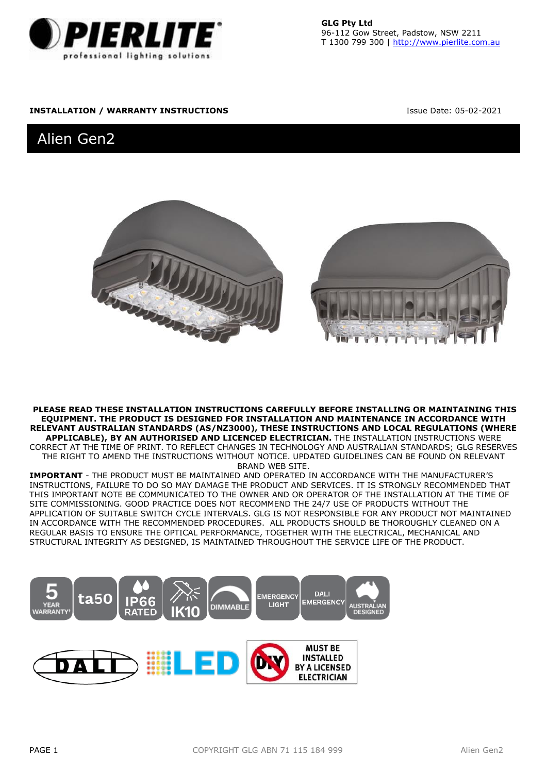

**GLG Pty Ltd** 96-112 Gow Street, Padstow, NSW 2211 T 1300 799 300 [| http://www.pierlite.com.au](http://www.glg.lighting/)

## **INSTALLATION / WARRANTY INSTRUCTIONS ISSUE Date: 05-02-2021**

# Alien Gen2



**PLEASE READ THESE INSTALLATION INSTRUCTIONS CAREFULLY BEFORE INSTALLING OR MAINTAINING THIS EQUIPMENT. THE PRODUCT IS DESIGNED FOR INSTALLATION AND MAINTENANCE IN ACCORDANCE WITH RELEVANT AUSTRALIAN STANDARDS (AS/NZ3000), THESE INSTRUCTIONS AND LOCAL REGULATIONS (WHERE APPLICABLE), BY AN AUTHORISED AND LICENCED ELECTRICIAN.** THE INSTALLATION INSTRUCTIONS WERE CORRECT AT THE TIME OF PRINT. TO REFLECT CHANGES IN TECHNOLOGY AND AUSTRALIAN STANDARDS; GLG RESERVES

THE RIGHT TO AMEND THE INSTRUCTIONS WITHOUT NOTICE. UPDATED GUIDELINES CAN BE FOUND ON RELEVANT BRAND WEB SITE.

**IMPORTANT** - THE PRODUCT MUST BE MAINTAINED AND OPERATED IN ACCORDANCE WITH THE MANUFACTURER'S INSTRUCTIONS, FAILURE TO DO SO MAY DAMAGE THE PRODUCT AND SERVICES. IT IS STRONGLY RECOMMENDED THAT THIS IMPORTANT NOTE BE COMMUNICATED TO THE OWNER AND OR OPERATOR OF THE INSTALLATION AT THE TIME OF SITE COMMISSIONING. GOOD PRACTICE DOES NOT RECOMMEND THE 24/7 USE OF PRODUCTS WITHOUT THE APPLICATION OF SUITABLE SWITCH CYCLE INTERVALS. GLG IS NOT RESPONSIBLE FOR ANY PRODUCT NOT MAINTAINED IN ACCORDANCE WITH THE RECOMMENDED PROCEDURES. ALL PRODUCTS SHOULD BE THOROUGHLY CLEANED ON A REGULAR BASIS TO ENSURE THE OPTICAL PERFORMANCE, TOGETHER WITH THE ELECTRICAL, MECHANICAL AND STRUCTURAL INTEGRITY AS DESIGNED, IS MAINTAINED THROUGHOUT THE SERVICE LIFE OF THE PRODUCT.

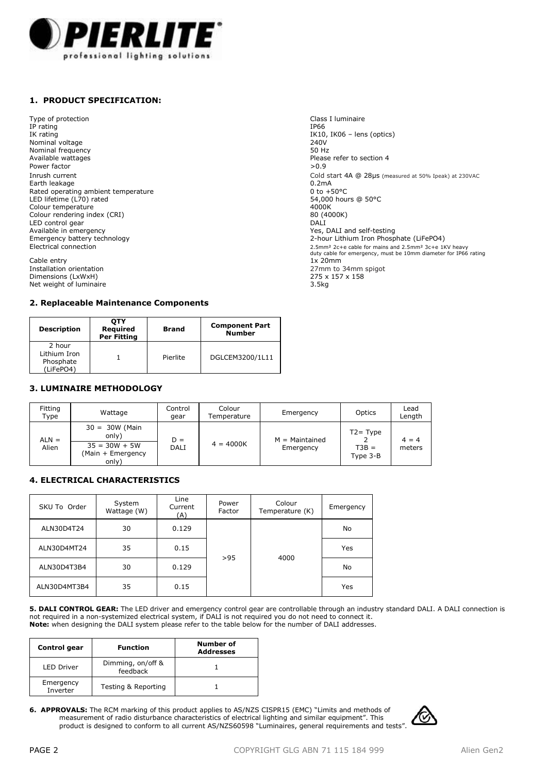

# **1. PRODUCT SPECIFICATION:**

Type of protection and the control of the control of the Class I luminaire Class I luminaire<br>
IP rating the control of the control of the control of the control of the control of the control of the control of the control o IP rating IP66 IK rating IK10, IK06 – lens (optics)<br>
Nominal voltage 240V<br>
Nominal voltage Nominal voltage 240V<br>Nominal frequency contracts and the contracts of the 250 Hz Nominal frequency<br>Available wattages Available wattages<br>Available wattages<br>Power factor Power factor  $>0.9$ Earth leakage 0.2mA Rated operating ambient temperature 0 to +50°C LED lifetime (L70) rated 54,000 hours @ 50°C Colour temperature and the colour temperature and the colour temperature and the colour temperature and the colour temperature and the colour temperature and the colour temperature and the colour temperature and the colour Colour rendering index (CRI) 80 (4000 K) 80 (400 K) 80 (400 K) 80 (400 K) 80 (400 K) 80 (400 K) 80 (400 K) 80 (400 K) 80 (400 K) 80 (400 K) 80 (400 K) 80 (400 K) 80 (400 K) 80 (400 K) 80 (400 K) 80 (400 K) 80 (400 K) 80 (4 LED control gear<br>Available in emergency Available in emergency<br>
Emergency battery technology<br>  $\blacksquare$   $\blacksquare$   $\blacksquare$   $\blacksquare$   $\blacksquare$   $\blacksquare$   $\blacksquare$   $\blacksquare$   $\blacksquare$   $\blacksquare$   $\blacksquare$   $\blacksquare$   $\blacksquare$   $\blacksquare$   $\blacksquare$   $\blacksquare$   $\blacksquare$   $\blacksquare$   $\blacksquare$   $\blacksquare$   $\blacksquare$   $\blacksquare$   $\blacksquare$   $\blacksquare$ 

Cable entry<br>Installation orientation Dimensions (LxWxH) 275 x<br>
Net weight of luminaire 255 x 158 x 157 x 157 x 158 x 158 x 158 x 158 x 158 x 158 x 158 x 158 x 158 x 158 x 1 Net weight of luminaire

## **2. Replaceable Maintenance Components**

| <b>Description</b>                               | OTY<br>Reauired<br>Per Fitting | Brand    | <b>Component Part</b><br><b>Number</b> |
|--------------------------------------------------|--------------------------------|----------|----------------------------------------|
| 2 hour<br>Lithium Iron<br>Phosphate<br>(LiFePO4) |                                | Pierlite | DGLCEM3200/1L11                        |

## **3. LUMINAIRE METHODOLOGY**

| Fitting<br>Type  | Wattage                                                                    | Control<br>gear | Colour<br>Temperature | Emergency                     | Optics                             | Lead<br>Length    |
|------------------|----------------------------------------------------------------------------|-----------------|-----------------------|-------------------------------|------------------------------------|-------------------|
| $ALN =$<br>Alien | $30 = 30W$ (Main<br>only)<br>$35 = 30W + 5W$<br>(Main + Emergency<br>only) | $D =$<br>DALI   | $4 = 4000K$           | $M =$ Maintained<br>Emergency | $T2 = Type$<br>$T3B =$<br>Type 3-B | $4 = 4$<br>meters |

## **4. ELECTRICAL CHARACTERISTICS**

| SKU To Order | System<br>Wattage (W) | Line<br>Current<br>(A) | Power<br>Factor | Colour<br>Temperature (K) | Emergency |
|--------------|-----------------------|------------------------|-----------------|---------------------------|-----------|
| ALN30D4T24   | 30                    | 0.129                  |                 |                           | No        |
| ALN30D4MT24  | 35                    | 0.15                   | >95             | 4000                      | Yes       |
| ALN30D4T3B4  | 30                    | 0.129                  |                 |                           | No        |
| ALN30D4MT3B4 | 35                    | 0.15                   |                 |                           | Yes       |

**5. DALI CONTROL GEAR:** The LED driver and emergency control gear are controllable through an industry standard DALI. A DALI connection is<br>not required in a non-systemized electrical system, if DALI is not required you do **Note:** when designing the DALI system please refer to the table below for the number of DALI addresses.

| Control gear          | <b>Function</b>               | Number of<br><b>Addresses</b> |  |
|-----------------------|-------------------------------|-------------------------------|--|
| <b>LED Driver</b>     | Dimming, on/off &<br>feedback |                               |  |
| Emergency<br>Inverter | Testing & Reporting           |                               |  |

**6. APPROVALS:** The RCM marking of this product applies to AS/NZS CISPR15 (EMC) "Limits and methods of measurement of radio disturbance characteristics of electrical lighting and similar equipment". This product is designed to conform to all current AS/NZS60598 "Luminaires, general requirements and tests".



Inrush current **Cold start 4A** @ 28μs (measured at 50% Ipeak) at 230VAC<br> **Farth leakage Cold Start 4A** (0.2 mA cold start 4A (0.2 mA cold start 4A cold start 4A α 28μs (measured at 50% Ipeak) at 230VAC Emergency battery technology<br>
Electrical connection<br>
2.5mm<sup>2</sup> 2c+e cable for mains and 2.5mm<sup>3</sup> 3c+e 1<sup>3</sup> 2.5mm<sup>3</sup> 2c+e cable for mains and 2.5mm<sup>3</sup> 3c+e 1 2.5mm<sup>2</sup> 2c+e cable for mains and 2.5mm<sup>2</sup> 3c+e 1KV heavy duty cable for emergency, must be 10mm diameter for IP66 rating 1x 20mm  $27$ mm to 34mm spigot<br> $275 \times 157 \times 158$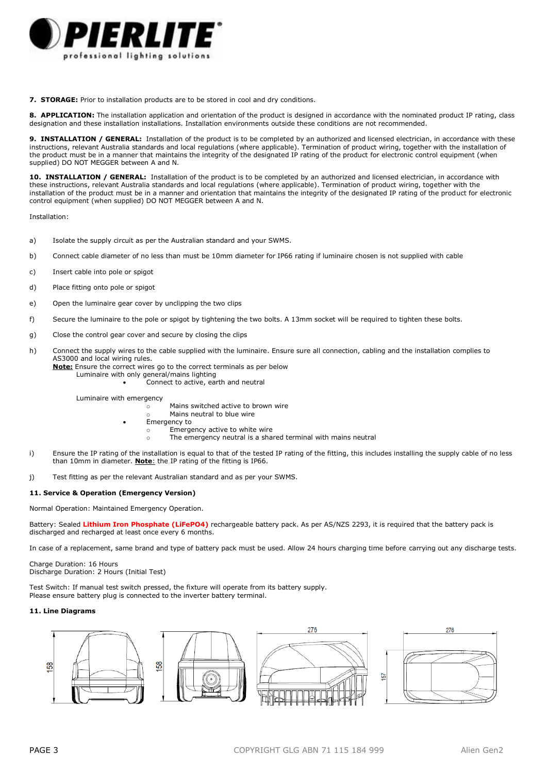

**7. STORAGE:** Prior to installation products are to be stored in cool and dry conditions.

8. APPLICATION: The installation application and orientation of the product is designed in accordance with the nominated product IP rating, class designation and these installation installations. Installation environments outside these conditions are not recommended.

**9. INSTALLATION / GENERAL:** Installation of the product is to be completed by an authorized and licensed electrician, in accordance with these instructions, relevant Australia standards and local regulations (where applicable). Termination of product wiring, together with the installation of the product must be in a manner that maintains the integrity of the designated IP rating of the product for electronic control equipment (when supplied) DO NOT MEGGER between A and N.

10. INSTALLATION / GENERAL: Installation of the product is to be completed by an authorized and licensed electrician, in accordance with these instructions, relevant Australia standards and local regulations (where applicable). Termination of product wiring, together with the installation of the product must be in a manner and orientation that maintains the integrity of the designated IP rating of the product for electronic control equipment (when supplied) DO NOT MEGGER between A and N.

Installation:

- a) Isolate the supply circuit as per the Australian standard and your SWMS.
- b) Connect cable diameter of no less than must be 10mm diameter for IP66 rating if luminaire chosen is not supplied with cable
- c) Insert cable into pole or spigot
- d) Place fitting onto pole or spigot
- e) Open the luminaire gear cover by unclipping the two clips
- f) Secure the luminaire to the pole or spigot by tightening the two bolts. A 13mm socket will be required to tighten these bolts.
- g) Close the control gear cover and secure by closing the clips
- h) Connect the supply wires to the cable supplied with the luminaire. Ensure sure all connection, cabling and the installation complies to AS3000 and local wiring rules.
	- **Note:** Ensure the correct wires go to the correct terminals as per below Luminaire with only general/mains lighting Connect to active, earth and neutral

Luminaire with emergency

Mains switched active to brown wire

- Mains neutral to blue wire
- Emergency to
	- o Emergency active to white wire
		- o The emergency neutral is a shared terminal with mains neutral
- i) Ensure the IP rating of the installation is equal to that of the tested IP rating of the fitting, this includes installing the supply cable of no less than 10mm in diameter. **Note**: the IP rating of the fitting is IP66.
- j) Test fitting as per the relevant Australian standard and as per your SWMS.

### **11. Service & Operation (Emergency Version)**

Normal Operation: Maintained Emergency Operation.

Battery: Sealed **Lithium Iron Phosphate (LiFePO4)** rechargeable battery pack. As per AS/NZS 2293, it is required that the battery pack is discharged and recharged at least once every 6 months.

In case of a replacement, same brand and type of battery pack must be used. Allow 24 hours charging time before carrying out any discharge tests.

Charge Duration: 16 Hours Discharge Duration: 2 Hours (Initial Test)

Test Switch: If manual test switch pressed, the fixture will operate from its battery supply. Please ensure battery plug is connected to the inverter battery terminal.

## **11. Line Diagrams**